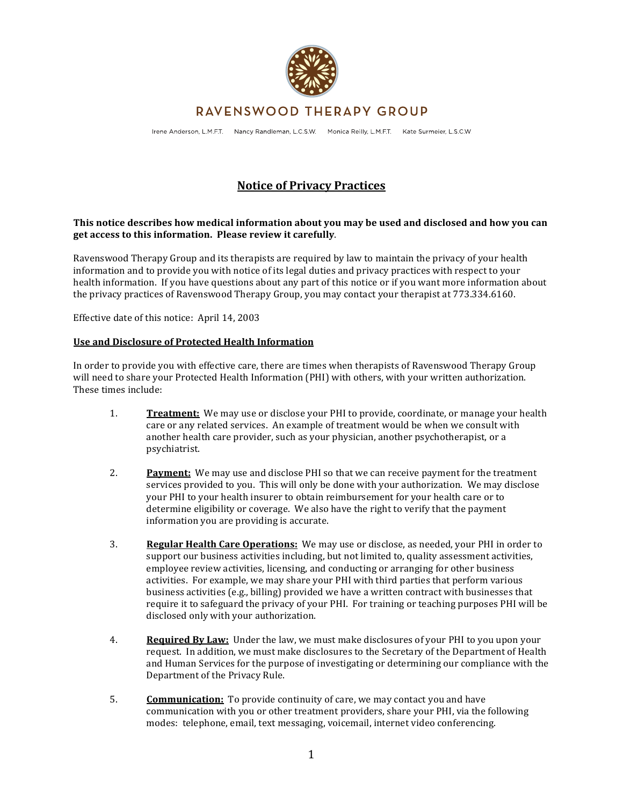

# RAVENSWOOD THERAPY GROUP

Irene Anderson, L.M.F.T. Nancy Randleman, L.C.S.W. Monica Reilly, L.M.F.T. Kate Surmeier, L.S.C.W.

# **Notice'of'Privacy'Practices**

### **This'notice'describes'how'medical'information'about'you'may'be'used'and'disclosed'and'how'you'can'** get access to this information. Please review it carefully.

Ravenswood Therapy Group and its therapists are required by law to maintain the privacy of your health information and to provide you with notice of its legal duties and privacy practices with respect to your health information. If you have questions about any part of this notice or if you want more information about the privacy practices of Ravenswood Therapy Group, you may contact your therapist at 773.334.6160.

Effective date of this notice: April 14, 2003

#### **Use'and'Disclosure'of'Protected'Health'Information**

In order to provide you with effective care, there are times when therapists of Ravenswood Therapy Group will need to share your Protected Health Information (PHI) with others, with your written authorization. These times include:

- 1. **Treatment:** We may use or disclose your PHI to provide, coordinate, or manage your health care or any related services. An example of treatment would be when we consult with another health care provider, such as your physician, another psychotherapist, or a psychiatrist.
- 2. **Payment:** We may use and disclose PHI so that we can receive payment for the treatment services provided to you. This will only be done with your authorization. We may disclose your PHI to your health insurer to obtain reimbursement for your health care or to determine eligibility or coverage. We also have the right to verify that the payment information you are providing is accurate.
- 3. **Regular Health Care Operations:** We may use or disclose, as needed, your PHI in order to support our business activities including, but not limited to, quality assessment activities, employee review activities, licensing, and conducting or arranging for other business activities. For example, we may share your PHI with third parties that perform various business activities (e.g., billing) provided we have a written contract with businesses that require it to safeguard the privacy of your PHI. For training or teaching purposes PHI will be disclosed only with your authorization.
- 4. **Required By Law:** Under the law, we must make disclosures of your PHI to you upon your request. In addition, we must make disclosures to the Secretary of the Department of Health and Human Services for the purpose of investigating or determining our compliance with the Department of the Privacy Rule.
- 5. **Communication:** To provide continuity of care, we may contact you and have communication with you or other treatment providers, share your PHI, via the following modes: telephone, email, text messaging, voicemail, internet video conferencing.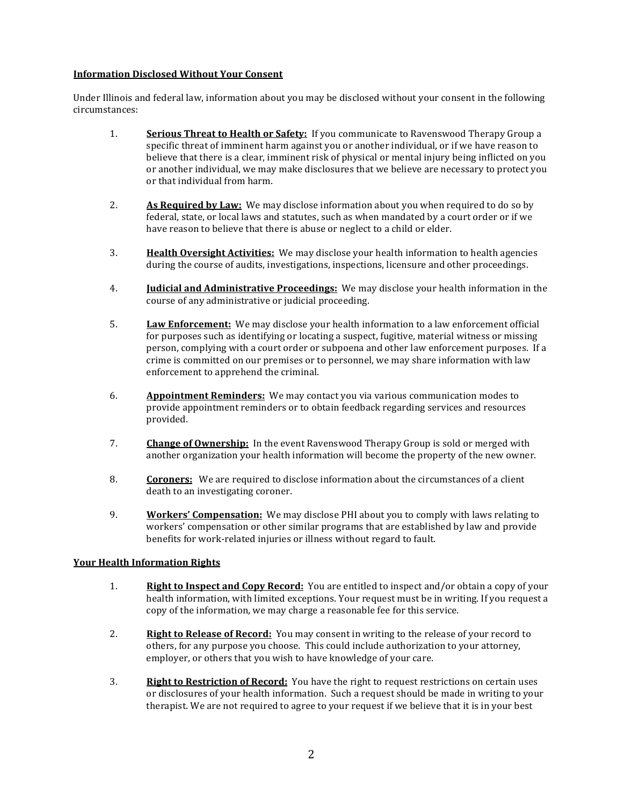### **Information'Disclosed'Without'Your'Consent**

Under Illinois and federal law, information about you may be disclosed without your consent in the following circumstances:

- 1. **Serious Threat to Health or Safety:** If you communicate to Ravenswood Therapy Group a specific threat of imminent harm against you or another individual, or if we have reason to believe that there is a clear, imminent risk of physical or mental injury being inflicted on you or another individual, we may make disclosures that we believe are necessary to protect you or that individual from harm.
- 2. **As Required by Law:** We may disclose information about you when required to do so by federal, state, or local laws and statutes, such as when mandated by a court order or if we have reason to believe that there is abuse or neglect to a child or elder.
- 3. **Health Oversight Activities:** We may disclose your health information to health agencies during the course of audits, investigations, inspections, licensure and other proceedings.
- 4. **Judicial and Administrative Proceedings:** We may disclose your health information in the course of any administrative or judicial proceeding.
- 5. **Law Enforcement:** We may disclose your health information to a law enforcement official for purposes such as identifying or locating a suspect, fugitive, material witness or missing person, complying with a court order or subpoena and other law enforcement purposes. If a crime is committed on our premises or to personnel, we may share information with law enforcement to apprehend the criminal.
- 6. **Appointment Reminders:** We may contact you via various communication modes to provide appointment reminders or to obtain feedback regarding services and resources provided.
- 7. **Change of Ownership:** In the event Ravenswood Therapy Group is sold or merged with another organization your health information will become the property of the new owner.
- 8. **Coroners:** We are required to disclose information about the circumstances of a client death to an investigating coroner.
- 9. **Workers' Compensation:** We may disclose PHI about you to comply with laws relating to workers' compensation or other similar programs that are established by law and provide benefits for work-related injuries or illness without regard to fault.

### Your Health Information Rights

- 1. **Right to Inspect and Copy Record:** You are entitled to inspect and/or obtain a copy of your health information, with limited exceptions. Your request must be in writing. If you request a copy of the information, we may charge a reasonable fee for this service.
- 2. **Right to Release of Record:** You may consent in writing to the release of your record to others, for any purpose you choose. This could include authorization to your attorney, employer, or others that you wish to have knowledge of your care.
- 3. **Right to Restriction of Record:** You have the right to request restrictions on certain uses or disclosures of your health information. Such a request should be made in writing to your therapist. We are not required to agree to your request if we believe that it is in your best